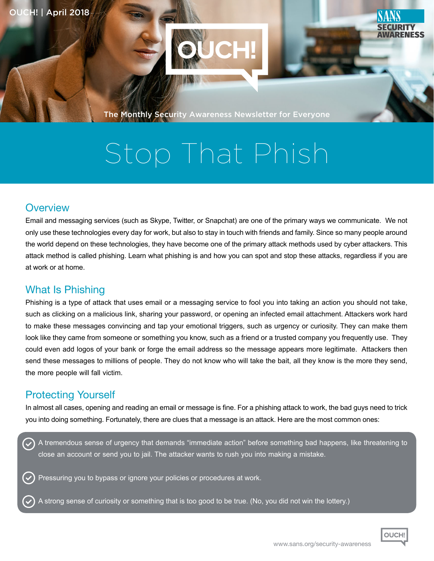

The Monthly Security Awareness Newsletter for Everyone

# Stop That Phish

#### **Overview**

Email and messaging services (such as Skype, Twitter, or Snapchat) are one of the primary ways we communicate. We not only use these technologies every day for work, but also to stay in touch with friends and family. Since so many people around the world depend on these technologies, they have become one of the primary attack methods used by cyber attackers. This attack method is called phishing. Learn what phishing is and how you can spot and stop these attacks, regardless if you are at work or at home

### **What Is Phishing**

Phishing is a type of attack that uses email or a messaging service to fool you into taking an action you should not take. such as clicking on a malicious link, sharing your password, or opening an infected email attachment. Attackers work hard to make these messages convincing and tap your emotional triggers, such as urgency or curiosity. They can make them look like they came from someone or something you know, such as a friend or a trusted company you frequently use. They could even add logos of your bank or forge the email address so the message appears more legitimate. Attackers then send these messages to millions of people. They do not know who will take the bait, all they know is the more they send. the more people will fall victim.

### **Protecting Yourself**

In almost all cases, opening and reading an email or message is fine. For a phishing attack to work, the bad guys need to trick you into doing something. Fortunately, there are clues that a message is an attack. Here are the most common ones:

A tremendous sense of urgency that demands "immediate action" before something bad happens, like threatening to close an account or send you to jail. The attacker wants to rush you into making a mistake.

Pressuring you to bypass or ignore your policies or procedures at work.

A strong sense of curiosity or something that is too good to be true. (No, you did not win the lottery.)